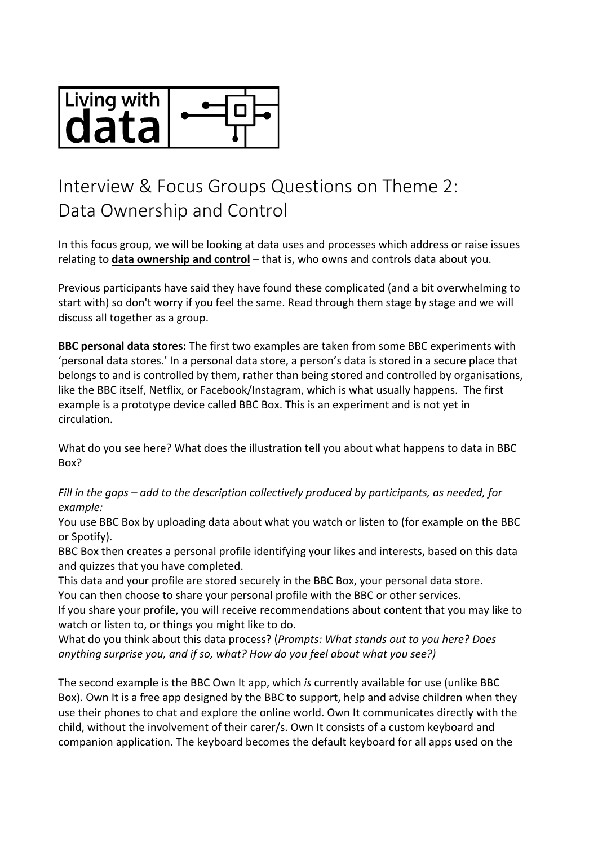

## Interview & Focus Groups Questions on Theme 2: Data Ownership and Control

In this focus group, we will be looking at data uses and processes which address or raise issues relating to **data ownership and control** – that is, who owns and controls data about you.

Previous participants have said they have found these complicated (and a bit overwhelming to start with) so don't worry if you feel the same. Read through them stage by stage and we will discuss all together as a group.

**BBC personal data stores:** The first two examples are taken from some BBC experiments with 'personal data stores.' In a personal data store, a person's data is stored in a secure place that belongs to and is controlled by them, rather than being stored and controlled by organisations, like the BBC itself, Netflix, or Facebook/Instagram, which is what usually happens. The first example is a prototype device called BBC Box. This is an experiment and is not yet in circulation.

What do you see here? What does the illustration tell you about what happens to data in BBC Box?

*Fill in the gaps – add to the description collectively produced by participants, as needed, for example:*

You use BBC Box by uploading data about what you watch or listen to (for example on the BBC or Spotify).

BBC Box then creates a personal profile identifying your likes and interests, based on this data and quizzes that you have completed.

This data and your profile are stored securely in the BBC Box, your personal data store. You can then choose to share your personal profile with the BBC or other services.

If you share your profile, you will receive recommendations about content that you may like to watch or listen to, or things you might like to do.

What do you think about this data process? (*Prompts: What stands out to you here? Does anything surprise you, and if so, what? How do you feel about what you see?)*

The second example is the BBC Own It app, which *is* currently available for use (unlike BBC Box). Own It is a free app designed by the BBC to support, help and advise children when they use their phones to chat and explore the online world. Own It communicates directly with the child, without the involvement of their carer/s. Own It consists of a custom keyboard and companion application. The keyboard becomes the default keyboard for all apps used on the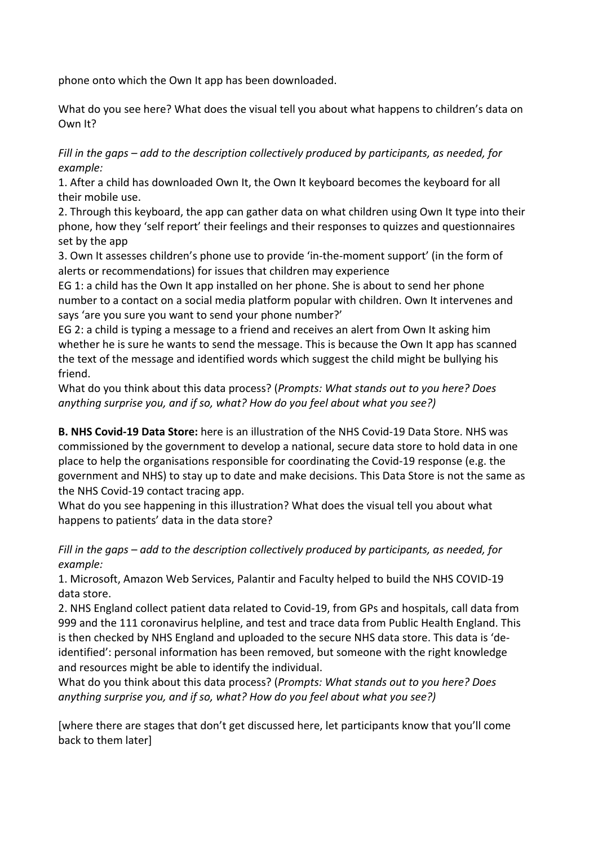phone onto which the Own It app has been downloaded.

What do you see here? What does the visual tell you about what happens to children's data on Own It?

*Fill in the gaps – add to the description collectively produced by participants, as needed, for example:*

1. After a child has downloaded Own It, the Own It keyboard becomes the keyboard for all their mobile use.

2. Through this keyboard, the app can gather data on what children using Own It type into their phone, how they 'self report' their feelings and their responses to quizzes and questionnaires set by the app

3. Own It assesses children's phone use to provide 'in-the-moment support' (in the form of alerts or recommendations) for issues that children may experience

EG 1: a child has the Own It app installed on her phone. She is about to send her phone number to a contact on a social media platform popular with children. Own It intervenes and says 'are you sure you want to send your phone number?'

EG 2: a child is typing a message to a friend and receives an alert from Own It asking him whether he is sure he wants to send the message. This is because the Own It app has scanned the text of the message and identified words which suggest the child might be bullying his friend.

What do you think about this data process? (*Prompts: What stands out to you here? Does anything surprise you, and if so, what? How do you feel about what you see?)*

**B. NHS Covid-19 Data Store:** here is an illustration of the NHS Covid-19 Data Store. NHS was commissioned by the government to develop a national, secure data store to hold data in one place to help the organisations responsible for coordinating the Covid-19 response (e.g. the government and NHS) to stay up to date and make decisions. This Data Store is not the same as the NHS Covid-19 contact tracing app.

What do you see happening in this illustration? What does the visual tell you about what happens to patients' data in the data store?

*Fill in the gaps – add to the description collectively produced by participants, as needed, for example:*

1. Microsoft, Amazon Web Services, Palantir and Faculty helped to build the NHS COVID-19 data store.

2. NHS England collect patient data related to Covid-19, from GPs and hospitals, call data from 999 and the 111 coronavirus helpline, and test and trace data from Public Health England. This is then checked by NHS England and uploaded to the secure NHS data store. This data is 'deidentified': personal information has been removed, but someone with the right knowledge and resources might be able to identify the individual.

What do you think about this data process? (*Prompts: What stands out to you here? Does anything surprise you, and if so, what? How do you feel about what you see?)*

[where there are stages that don't get discussed here, let participants know that you'll come back to them later]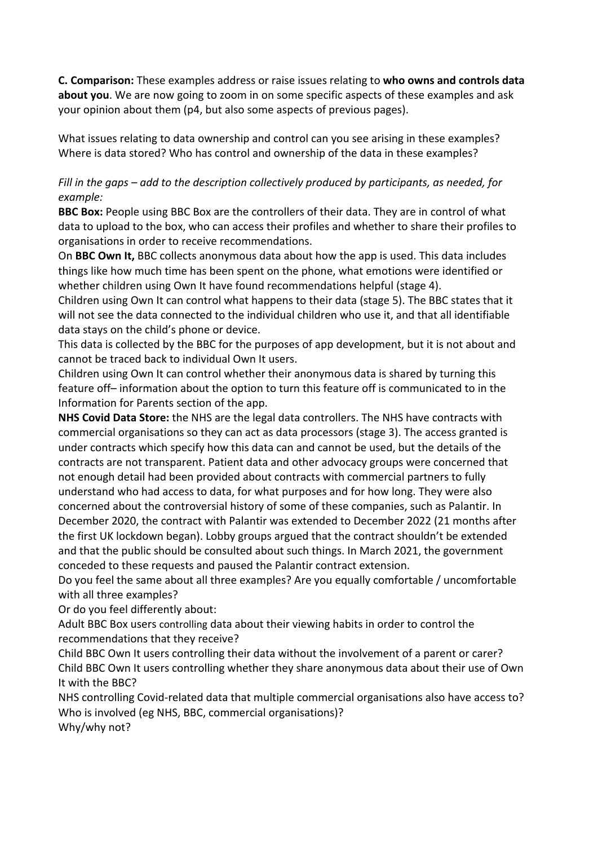**C. Comparison:** These examples address or raise issues relating to **who owns and controls data about you**. We are now going to zoom in on some specific aspects of these examples and ask your opinion about them (p4, but also some aspects of previous pages).

What issues relating to data ownership and control can you see arising in these examples? Where is data stored? Who has control and ownership of the data in these examples?

## *Fill in the gaps – add to the description collectively produced by participants, as needed, for example:*

**BBC Box:** People using BBC Box are the controllers of their data. They are in control of what data to upload to the box, who can access their profiles and whether to share their profiles to organisations in order to receive recommendations.

On **BBC Own It,** BBC collects anonymous data about how the app is used. This data includes things like how much time has been spent on the phone, what emotions were identified or whether children using Own It have found recommendations helpful (stage 4).

Children using Own It can control what happens to their data (stage 5). The BBC states that it will not see the data connected to the individual children who use it, and that all identifiable data stays on the child's phone or device.

This data is collected by the BBC for the purposes of app development, but it is not about and cannot be traced back to individual Own It users.

Children using Own It can control whether their anonymous data is shared by turning this feature off– information about the option to turn this feature off is communicated to in the Information for Parents section of the app.

**NHS Covid Data Store:** the NHS are the legal data controllers. The NHS have contracts with commercial organisations so they can act as data processors (stage 3). The access granted is under contracts which specify how this data can and cannot be used, but the details of the contracts are not transparent. Patient data and other advocacy groups were concerned that not enough detail had been provided about contracts with commercial partners to fully understand who had access to data, for what purposes and for how long. They were also concerned about the controversial history of some of these companies, such as Palantir. In December 2020, the contract with Palantir was extended to December 2022 (21 months after the first UK lockdown began). Lobby groups argued that the contract shouldn't be extended and that the public should be consulted about such things. In March 2021, the government conceded to these requests and paused the Palantir contract extension.

Do you feel the same about all three examples? Are you equally comfortable / uncomfortable with all three examples?

Or do you feel differently about:

Adult BBC Box users controlling data about their viewing habits in order to control the recommendations that they receive?

Child BBC Own It users controlling their data without the involvement of a parent or carer? Child BBC Own It users controlling whether they share anonymous data about their use of Own It with the BBC?

NHS controlling Covid-related data that multiple commercial organisations also have access to? Who is involved (eg NHS, BBC, commercial organisations)?

Why/why not?